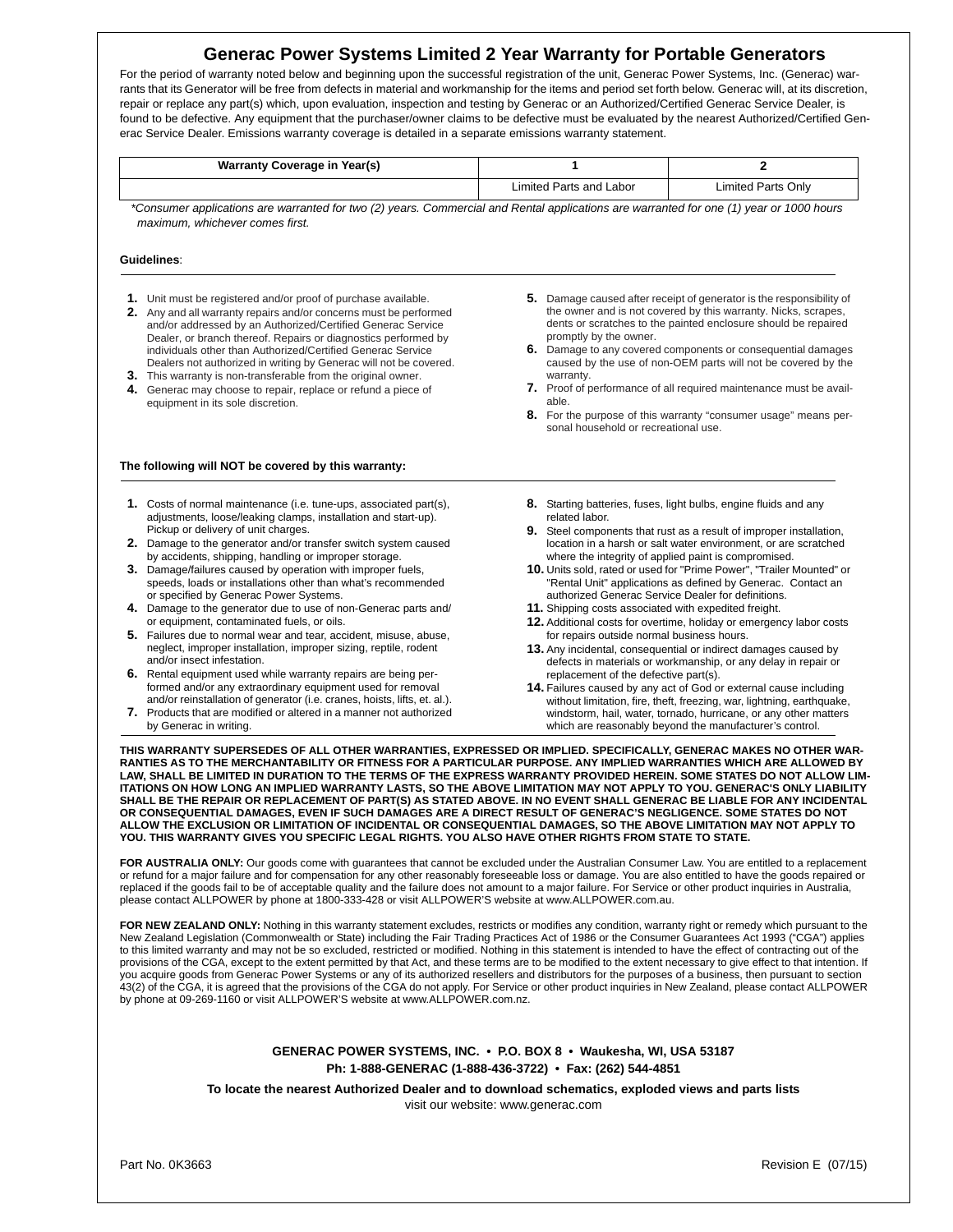# **Generac Power Systems Limited 2 Year Warranty for Portable Generators**

For the period of warranty noted below and beginning upon the successful registration of the unit, Generac Power Systems, Inc. (Generac) warrants that its Generator will be free from defects in material and workmanship for the items and period set forth below. Generac will, at its discretion, repair or replace any part(s) which, upon evaluation, inspection and testing by Generac or an Authorized/Certified Generac Service Dealer, is found to be defective. Any equipment that the purchaser/owner claims to be defective must be evaluated by the nearest Authorized/Certified Generac Service Dealer. Emissions warranty coverage is detailed in a separate emissions warranty statement.

| Warranty Coverage in Year(s) |                         |                    |
|------------------------------|-------------------------|--------------------|
|                              | Limited Parts and Labor | Limited Parts Only |

*\*Consumer applications are warranted for two (2) years. Commercial and Rental applications are warranted for one (1) year or 1000 hours maximum, whichever comes first.*

### **Guidelines**:

- **1.** Unit must be registered and/or proof of purchase available.
- **2.** Any and all warranty repairs and/or concerns must be performed and/or addressed by an Authorized/Certified Generac Service Dealer, or branch thereof. Repairs or diagnostics performed by individuals other than Authorized/Certified Generac Service Dealers not authorized in writing by Generac will not be covered.
- **3.** This warranty is non-transferable from the original owner. **4.** Generac may choose to repair, replace or refund a piece of equipment in its sole discretion.

#### **The following will NOT be covered by this warranty:**

- **1.** Costs of normal maintenance (i.e. tune-ups, associated part(s), adjustments, loose/leaking clamps, installation and start-up). Pickup or delivery of unit charges.
- **2.** Damage to the generator and/or transfer switch system caused by accidents, shipping, handling or improper storage.
- **3.** Damage/failures caused by operation with improper fuels, speeds, loads or installations other than what's recommended or specified by Generac Power Systems.
- **4.** Damage to the generator due to use of non-Generac parts and/ or equipment, contaminated fuels, or oils.
- **5.** Failures due to normal wear and tear, accident, misuse, abuse, neglect, improper installation, improper sizing, reptile, rodent and/or insect infestation.
- **6.** Rental equipment used while warranty repairs are being performed and/or any extraordinary equipment used for removal and/or reinstallation of generator (i.e. cranes, hoists, lifts, et. al.).
- **7.** Products that are modified or altered in a manner not authorized by Generac in writing.
- **5.** Damage caused after receipt of generator is the responsibility of the owner and is not covered by this warranty. Nicks, scrapes, dents or scratches to the painted enclosure should be repaired promptly by the owner.
- **6.** Damage to any covered components or consequential damages caused by the use of non-OEM parts will not be covered by the warranty.
- **7.** Proof of performance of all required maintenance must be available.
- **8.** For the purpose of this warranty "consumer usage" means personal household or recreational use.
- **8.** Starting batteries, fuses, light bulbs, engine fluids and any related labor.
- **9.** Steel components that rust as a result of improper installation, location in a harsh or salt water environment, or are scratched where the integrity of applied paint is compromised.
- **10.** Units sold, rated or used for "Prime Power", "Trailer Mounted" or "Rental Unit" applications as defined by Generac. Contact an authorized Generac Service Dealer for definitions.
- **11.** Shipping costs associated with expedited freight.
- **12.** Additional costs for overtime, holiday or emergency labor costs for repairs outside normal business hours.
- **13.** Any incidental, consequential or indirect damages caused by defects in materials or workmanship, or any delay in repair or replacement of the defective part(s).
- **14.** Failures caused by any act of God or external cause including without limitation, fire, theft, freezing, war, lightning, earthquake, windstorm, hail, water, tornado, hurricane, or any other matters which are reasonably beyond the manufacturer's control.

**THIS WARRANTY SUPERSEDES OF ALL OTHER WARRANTIES, EXPRESSED OR IMPLIED. SPECIFICALLY, GENERAC MAKES NO OTHER WAR-RANTIES AS TO THE MERCHANTABILITY OR FITNESS FOR A PARTICULAR PURPOSE. ANY IMPLIED WARRANTIES WHICH ARE ALLOWED BY LAW, SHALL BE LIMITED IN DURATION TO THE TERMS OF THE EXPRESS WARRANTY PROVIDED HEREIN. SOME STATES DO NOT ALLOW LIM-ITATIONS ON HOW LONG AN IMPLIED WARRANTY LASTS, SO THE ABOVE LIMITATION MAY NOT APPLY TO YOU. GENERAC'S ONLY LIABILITY SHALL BE THE REPAIR OR REPLACEMENT OF PART(S) AS STATED ABOVE. IN NO EVENT SHALL GENERAC BE LIABLE FOR ANY INCIDENTAL OR CONSEQUENTIAL DAMAGES, EVEN IF SUCH DAMAGES ARE A DIRECT RESULT OF GENERAC'S NEGLIGENCE. SOME STATES DO NOT ALLOW THE EXCLUSION OR LIMITATION OF INCIDENTAL OR CONSEQUENTIAL DAMAGES, SO THE ABOVE LIMITATION MAY NOT APPLY TO YOU. THIS WARRANTY GIVES YOU SPECIFIC LEGAL RIGHTS. YOU ALSO HAVE OTHER RIGHTS FROM STATE TO STATE.**

FOR AUSTRALIA ONLY: Our goods come with guarantees that cannot be excluded under the Australian Consumer Law. You are entitled to a replacement or refund for a major failure and for compensation for any other reasonably foreseeable loss or damage. You are also entitled to have the goods repaired or replaced if the goods fail to be of acceptable quality and the failure does not amount to a major failure. For Service or other product inquiries in Australia, please contact ALLPOWER by phone at 1800-333-428 or visit ALLPOWER'S website at www.ALLPOWER.com.au.

FOR NEW ZEALAND ONLY: Nothing in this warranty statement excludes, restricts or modifies any condition, warranty right or remedy which pursuant to the New Zealand Legislation (Commonwealth or State) including the Fair Trading Practices Act of 1986 or the Consumer Guarantees Act 1993 ("CGA") applies to this limited warranty and may not be so excluded, restricted or modified. Nothing in this statement is intended to have the effect of contracting out of the provisions of the CGA, except to the extent permitted by that Act, and these terms are to be modified to the extent necessary to give effect to that intention. If you acquire goods from Generac Power Systems or any of its authorized resellers and distributors for the purposes of a business, then pursuant to section 43(2) of the CGA, it is agreed that the provisions of the CGA do not apply. For Service or other product inquiries in New Zealand, please contact ALLPOWER<br>by phone at 09-269-1160 or visit ALLPOWER'S website at www.ALLPOWER

### **GENERAC POWER SYSTEMS, INC. • P.O. BOX 8 • Waukesha, WI, USA 53187 Ph: 1-888-GENERAC (1-888-436-3722) • Fax: (262) 544-4851**

**To locate the nearest Authorized Dealer and to download schematics, exploded views and parts lists** visit our website: www.generac.com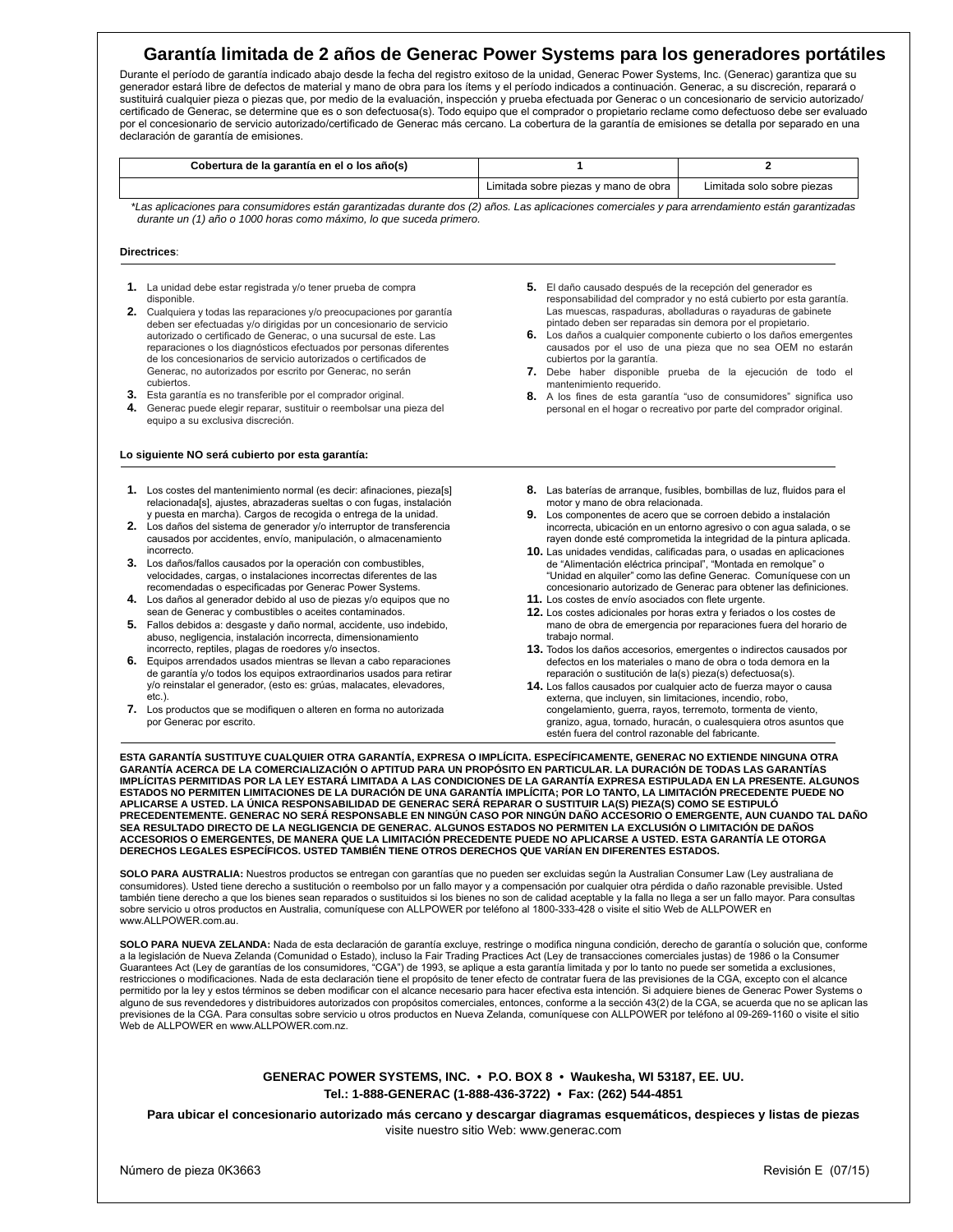# **Garantía limitada de 2 años de Generac Power Systems para los generadores portátiles**

Durante el período de garantía indicado abajo desde la fecha del registro exitoso de la unidad, Generac Power Systems, Inc. (Generac) garantiza que su generador estará libre de defectos de material y mano de obra para los ítems y el período indicados a continuación. Generac, a su discreción, reparará o sustituirá cualquier pieza o piezas que, por medio de la evaluación, inspección y prueba efectuada por Generac o un concesionario de servicio autorizado/ certificado de Generac, se determine que es o son defectuosa(s). Todo equipo que el comprador o propietario reclame como defectuoso debe ser evaluado por el concesionario de servicio autorizado/certificado de Generac más cercano. La cobertura de la garantía de emisiones se detalla por separado en una declaración de garantía de emisiones.

| Cobertura de la garantía en el o los año(s) |                                      |                            |
|---------------------------------------------|--------------------------------------|----------------------------|
|                                             | Limitada sobre piezas y mano de obra | Limitada solo sobre piezas |
| .                                           | $\sim$ $\sim$ $\sim$                 |                            |

*\*Las aplicaciones para consumidores están garantizadas durante dos (2) años. Las aplicaciones comerciales y para arrendamiento están garantizadas durante un (1) año o 1000 horas como máximo, lo que suceda primero.*

#### **Directrices**:

- **1.** La unidad debe estar registrada y/o tener prueba de compra disponible.
- **2.** Cualquiera y todas las reparaciones y/o preocupaciones por garantía deben ser efectuadas y/o dirigidas por un concesionario de servicio autorizado o certificado de Generac, o una sucursal de este. Las reparaciones o los diagnósticos efectuados por personas diferentes de los concesionarios de servicio autorizados o certificados de Generac, no autorizados por escrito por Generac, no serán cubiertos.
- **3.** Esta garantía es no transferible por el comprador original.
- **4.** Generac puede elegir reparar, sustituir o reembolsar una pieza del equipo a su exclusiva discreción.

#### **Lo siguiente NO será cubierto por esta garantía:**

- **1.** Los costes del mantenimiento normal (es decir: afinaciones, pieza[s] relacionada[s], ajustes, abrazaderas sueltas o con fugas, instalación y puesta en marcha). Cargos de recogida o entrega de la unidad.
- **2.** Los daños del sistema de generador y/o interruptor de transferencia causados por accidentes, envío, manipulación, o almacenamiento incorrecto.
- **3.** Los daños/fallos causados por la operación con combustibles, velocidades, cargas, o instalaciones incorrectas diferentes de las recomendadas o especificadas por Generac Power Systems.
- **4.** Los daños al generador debido al uso de piezas y/o equipos que no sean de Generac y combustibles o aceites contaminados.
- **5.** Fallos debidos a: desgaste y daño normal, accidente, uso indebido, abuso, negligencia, instalación incorrecta, dimensionamiento incorrecto, reptiles, plagas de roedores y/o insectos.
- **6.** Equipos arrendados usados mientras se llevan a cabo reparaciones de garantía y/o todos los equipos extraordinarios usados para retirar y/o reinstalar el generador, (esto es: grúas, malacates, elevadores, etc.).
- **7.** Los productos que se modifiquen o alteren en forma no autorizada por Generac por escrito.
- **5.** El daño causado después de la recepción del generador es responsabilidad del comprador y no está cubierto por esta garantía. Las muescas, raspaduras, abolladuras o rayaduras de gabinete pintado deben ser reparadas sin demora por el propietario.
- **6.** Los daños a cualquier componente cubierto o los daños emergentes causados por el uso de una pieza que no sea OEM no estarán cubiertos por la garantía.
- **7.** Debe haber disponible prueba de la ejecución de todo el mantenimiento requerido.
- **8.** A los fines de esta garantía "uso de consumidores" significa uso personal en el hogar o recreativo por parte del comprador original.
- **8.** Las baterías de arranque, fusibles, bombillas de luz, fluidos para el motor y mano de obra relacionada.
- **9.** Los componentes de acero que se corroen debido a instalación incorrecta, ubicación en un entorno agresivo o con agua salada, o se rayen donde esté comprometida la integridad de la pintura aplicada.
- **10.** Las unidades vendidas, calificadas para, o usadas en aplicaciones de "Alimentación eléctrica principal", "Montada en remolque" o "Unidad en alquiler" como las define Generac. Comuníquese con un concesionario autorizado de Generac para obtener las definiciones.
- **11.** Los costes de envío asociados con flete urgente.
- **12.** Los costes adicionales por horas extra y feriados o los costes de mano de obra de emergencia por reparaciones fuera del horario de trabajo normal.
- **13.** Todos los daños accesorios, emergentes o indirectos causados por defectos en los materiales o mano de obra o toda demora en la reparación o sustitución de la(s) pieza(s) defectuosa(s).
- **14.** Los fallos causados por cualquier acto de fuerza mayor o causa externa, que incluyen, sin limitaciones, incendio, robo, congelamiento, guerra, rayos, terremoto, tormenta de viento, granizo, agua, tornado, huracán, o cualesquiera otros asuntos que estén fuera del control razonable del fabricante.

**ESTA GARANTÍA SUSTITUYE CUALQUIER OTRA GARANTÍA, EXPRESA O IMPLÍCITA. ESPECÍFICAMENTE, GENERAC NO EXTIENDE NINGUNA OTRA GARANTÍA ACERCA DE LA COMERCIALIZACIÓN O APTITUD PARA UN PROPÓSITO EN PARTICULAR. LA DURACIÓN DE TODAS LAS GARANTÍAS IMPLÍCITAS PERMITIDAS POR LA LEY ESTARÁ LIMITADA A LAS CONDICIONES DE LA GARANTÍA EXPRESA ESTIPULADA EN LA PRESENTE. ALGUNOS ESTADOS NO PERMITEN LIMITACIONES DE LA DURACIÓN DE UNA GARANTÍA IMPLÍCITA; POR LO TANTO, LA LIMITACIÓN PRECEDENTE PUEDE NO APLICARSE A USTED. LA ÚNICA RESPONSABILIDAD DE GENERAC SERÁ REPARAR O SUSTITUIR LA(S) PIEZA(S) COMO SE ESTIPULÓ PRECEDENTEMENTE. GENERAC NO SERÁ RESPONSABLE EN NINGÚN CASO POR NINGÚN DAÑO ACCESORIO O EMERGENTE, AUN CUANDO TAL DAÑO SEA RESULTADO DIRECTO DE LA NEGLIGENCIA DE GENERAC. ALGUNOS ESTADOS NO PERMITEN LA EXCLUSIÓN O LIMITACIÓN DE DAÑOS ACCESORIOS O EMERGENTES, DE MANERA QUE LA LIMITACIÓN PRECEDENTE PUEDE NO APLICARSE A USTED. ESTA GARANTÍA LE OTORGA DERECHOS LEGALES ESPECÍFICOS. USTED TAMBIÉN TIENE OTROS DERECHOS QUE VARÍAN EN DIFERENTES ESTADOS.**

**SOLO PARA AUSTRALIA:** Nuestros productos se entregan con garantías que no pueden ser excluidas según la Australian Consumer Law (Ley australiana de consumidores). Usted tiene derecho a sustitución o reembolso por un fallo mayor y a compensación por cualquier otra pérdida o daño razonable previsible. Usted también tiene derecho a que los bienes sean reparados o sustituidos si los bienes no son de calidad aceptable y la falla no llega a ser un fallo mayor. Para consultas sobre servicio u otros productos en Australia, comuníquese con ALLPOWER por teléfono al 1800-333-428 o visite el sitio Web de ALLPOWER en www.ALLPOWER.com.au.

**SOLO PARA NUEVA ZELANDA:** Nada de esta declaración de garantía excluye, restringe o modifica ninguna condición, derecho de garantía o solución que, conforme a la legislación de Nueva Zelanda (Comunidad o Estado), incluso la Fair Trading Practices Act (Ley de transacciones comerciales justas) de 1986 o la Consumer Guarantees Act (Ley de garantías de los consumidores, "CGA") de 1993, se aplique a esta garantía limitada y por lo tanto no puede ser sometida a exclusiones, restricciones o modificaciones. Nada de esta declaración tiene el propósito de tener efecto de contratar fuera de las previsiones de la CGA, excepto con el alcance permitido por la ley y estos términos se deben modificar con el alcance necesario para hacer efectiva esta intención. Si adquiere bienes de Generac Power Systems o alguno de sus revendedores y distribuidores autorizados con propósitos comerciales, entonces, conforme a la sección 43(2) de la CGA, se acuerda que no se aplican las previsiones de la CGA. Para consultas sobre servicio u otros productos en Nueva Zelanda, comuníquese con ALLPOWER por teléfono al 09-269-1160 o visite el sitio Web de ALLPOWER en www.ALLPOWER.com.nz.

## **GENERAC POWER SYSTEMS, INC. • P.O. BOX 8 • Waukesha, WI 53187, EE. UU. Tel.: 1-888-GENERAC (1-888-436-3722) • Fax: (262) 544-4851**

**Para ubicar el concesionario autorizado más cercano y descargar diagramas esquemáticos, despieces y listas de piezas** visite nuestro sitio Web: www.generac.com